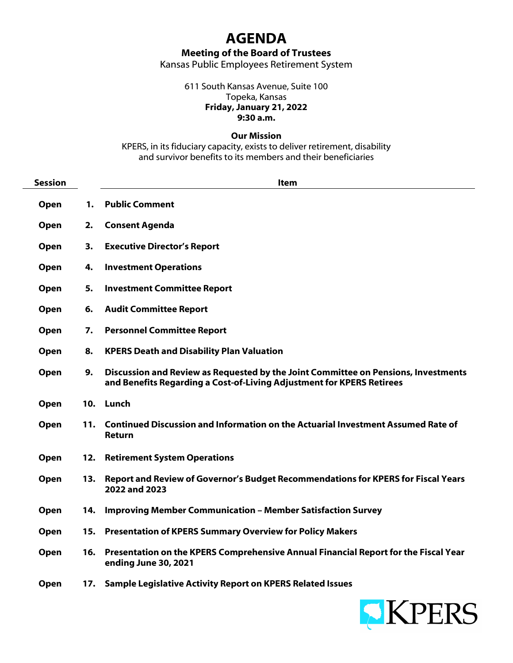## **AGENDA**

**Meeting of the Board of Trustees**

Kansas Public Employees Retirement System

611 South Kansas Avenue, Suite 100 Topeka, Kansas **Friday, January 21, 2022 9:30 a.m.**

**Our Mission**

KPERS, in its fiduciary capacity, exists to deliver retirement, disability and survivor benefits to its members and their beneficiaries

| <b>Session</b> |     | <b>Item</b>                                                                                                                                                 |
|----------------|-----|-------------------------------------------------------------------------------------------------------------------------------------------------------------|
| Open           | 1.  | <b>Public Comment</b>                                                                                                                                       |
| Open           | 2.  | <b>Consent Agenda</b>                                                                                                                                       |
| Open           | 3.  | <b>Executive Director's Report</b>                                                                                                                          |
| Open           | 4.  | <b>Investment Operations</b>                                                                                                                                |
| Open           | 5.  | <b>Investment Committee Report</b>                                                                                                                          |
| Open           | 6.  | <b>Audit Committee Report</b>                                                                                                                               |
| Open           | 7.  | <b>Personnel Committee Report</b>                                                                                                                           |
| Open           | 8.  | <b>KPERS Death and Disability Plan Valuation</b>                                                                                                            |
| Open           | 9.  | Discussion and Review as Requested by the Joint Committee on Pensions, Investments<br>and Benefits Regarding a Cost-of-Living Adjustment for KPERS Retirees |
| Open           |     | 10. Lunch                                                                                                                                                   |
| Open           | 11. | Continued Discussion and Information on the Actuarial Investment Assumed Rate of<br><b>Return</b>                                                           |
| Open           | 12. | <b>Retirement System Operations</b>                                                                                                                         |
| Open           | 13. | Report and Review of Governor's Budget Recommendations for KPERS for Fiscal Years<br>2022 and 2023                                                          |
| Open           | 14. | <b>Improving Member Communication - Member Satisfaction Survey</b>                                                                                          |
| Open           | 15. | <b>Presentation of KPERS Summary Overview for Policy Makers</b>                                                                                             |
| Open           | 16. | Presentation on the KPERS Comprehensive Annual Financial Report for the Fiscal Year<br>ending June 30, 2021                                                 |
| Open           | 17. | <b>Sample Legislative Activity Report on KPERS Related Issues</b>                                                                                           |